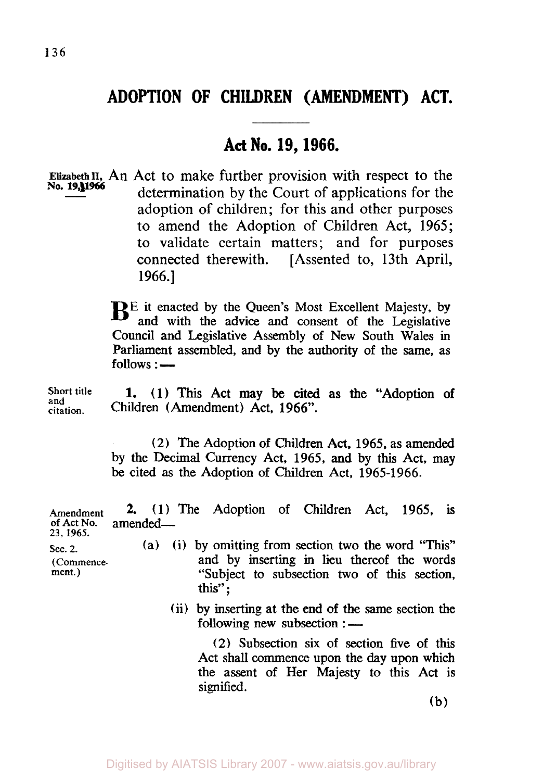## **ADOPTION OF CHILDREN (AMENDMENT) ACT.**

## **Act No. 19, 1966.**

**Elizabeth II,** An Act to make further provision with respect to the determination by the Court of applications for the adoption of children; for this and other purposes to amend the Adoption of Children Act, 1965; to validate certain matters; and for purposes connected therewith. [Assented to, 13th April, **1966.]** 

> B<sup>E</sup> it enacted by the Queen's Most Excellent Majesty, by and with the advice and consent of the Legislative Council and Legislative Assembly of New South Wales in Parliament assembled, **and** by the authority of the same, as follows :

**Short title and citation.** 

**1. (1)** This Act may be **cited as** the **"Adoption** of Children (Amendment) Act, **1966".** 

**(2)** The Adoption of Children Act, **1965,** as amended by the Decimal Currency Act, **1965, and** by this Act, may be cited **as** the Adoption of Children Act, **1965-1966.** 

**Amendment 2.** (1) The Adoption of Children Act, **1965, is**  of Act No. amended-**23, 1965.** 

- **sec. 2.** (a) (i) by omitting from section two the word "This" **(Commence-** and by **inserting** in lieu thereof the words **ment.)** "Subject to subsection two of this section, this" ;
	- (ii) by inserting at the end of the same section the following new subsection :

(2) Subsection six of section five of this Act shall commence upon the day upon which the assent of Her Majesty to this **Act** is signified.

(b)

Digitised by AIATSIS Library 2007 - www.aiatsis.gov.au/library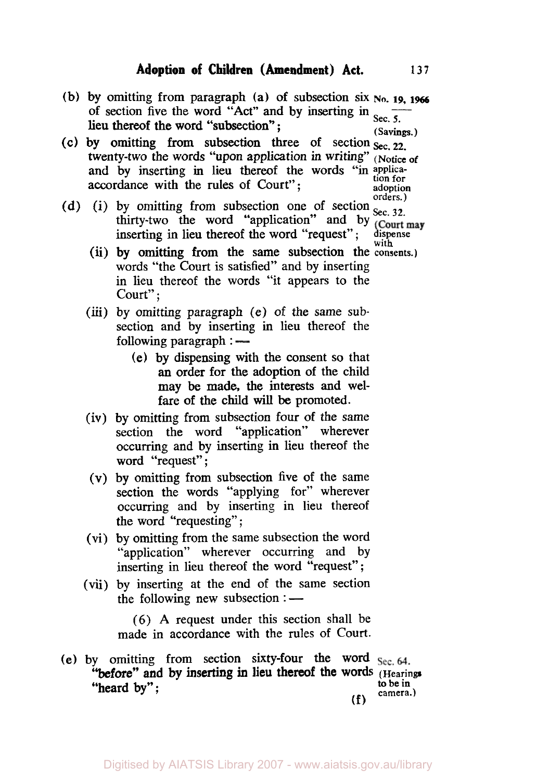(b) by omitting from paragraph (a) of subsection six  $N_0$ , 19, 1966 of section five the word "Act" and by inserting in  $_{\text{Sec. 5.}}$ lieu thereof the word "subsection";  $\frac{\sec 3x}{\sec x}$ 

- (c) by omitting from subsection three of section  $\sec 22$ . twenty-two the words "upon application in writing" (Notice *of*  and by inserting in lieu thereof the words "in applica- $\text{accordance with the rules of Court";} \qquad \text{aof the above order}$
- (d) (i) by omitting from subsection one of section  $_{\text{Sec. 32}}^{\text{orders.}}$ thirty-two the word "application" and by  $\frac{1}{2}$  (Court may inserting **in** lieu thereof the word "request"; dispense with
	- words "the Court is satisfied" and by inserting in lieu thereof the words "it appears to the **(ii)** by omitting from the same subsection the consents.) Court":
	- (iii) by omitting paragraph (e) of the same subsection and by inserting in lieu thereof the following paragraph :
		- (e) by dispensing with the consent so that an order for the adoption of the child may be made, the interests and welfare of the child will be promoted.
	- (iv) by omitting from subsection four of the same section the word "application" wherever occurring and by inserting in lieu thereof the word "request";
	- **(V)** by omitting from subsection five of the same section the words "applying for" wherever occurring and by inserting in lieu thereof the word "requesting" ;
	- (vi) by omitting from the same subsection the word "application" wherever occurring and by inserting in lieu thereof the word "request";
	- (vii) by inserting at the end of the same section the following new subsection :

(6) **A** request under this section shall be made in accordance with the rules of Court.

**(e)** by omitting from section sixty-four the word **(f)**  "before" and by inserting **in** lieu thereof the words (Hearings "heard by"; to be in  $\cos \theta$ to be in